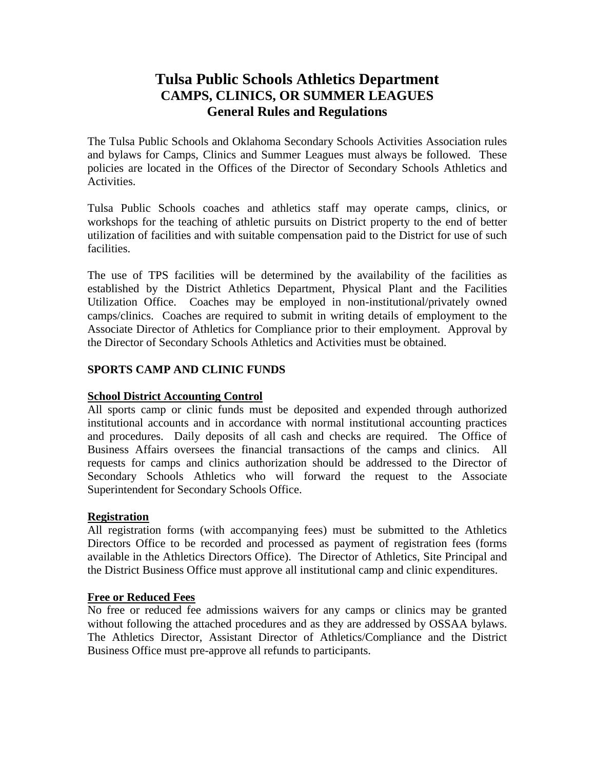### **Tulsa Public Schools Athletics Department CAMPS, CLINICS, OR SUMMER LEAGUES General Rules and Regulations**

The Tulsa Public Schools and Oklahoma Secondary Schools Activities Association rules and bylaws for Camps, Clinics and Summer Leagues must always be followed. These policies are located in the Offices of the Director of Secondary Schools Athletics and Activities.

Tulsa Public Schools coaches and athletics staff may operate camps, clinics, or workshops for the teaching of athletic pursuits on District property to the end of better utilization of facilities and with suitable compensation paid to the District for use of such facilities.

The use of TPS facilities will be determined by the availability of the facilities as established by the District Athletics Department, Physical Plant and the Facilities Utilization Office. Coaches may be employed in non-institutional/privately owned camps/clinics. Coaches are required to submit in writing details of employment to the Associate Director of Athletics for Compliance prior to their employment. Approval by the Director of Secondary Schools Athletics and Activities must be obtained.

### **SPORTS CAMP AND CLINIC FUNDS**

### **School District Accounting Control**

All sports camp or clinic funds must be deposited and expended through authorized institutional accounts and in accordance with normal institutional accounting practices and procedures. Daily deposits of all cash and checks are required. The Office of Business Affairs oversees the financial transactions of the camps and clinics. All requests for camps and clinics authorization should be addressed to the Director of Secondary Schools Athletics who will forward the request to the Associate Superintendent for Secondary Schools Office.

#### **Registration**

All registration forms (with accompanying fees) must be submitted to the Athletics Directors Office to be recorded and processed as payment of registration fees (forms available in the Athletics Directors Office). The Director of Athletics, Site Principal and the District Business Office must approve all institutional camp and clinic expenditures.

#### **Free or Reduced Fees**

No free or reduced fee admissions waivers for any camps or clinics may be granted without following the attached procedures and as they are addressed by OSSAA bylaws. The Athletics Director, Assistant Director of Athletics/Compliance and the District Business Office must pre-approve all refunds to participants.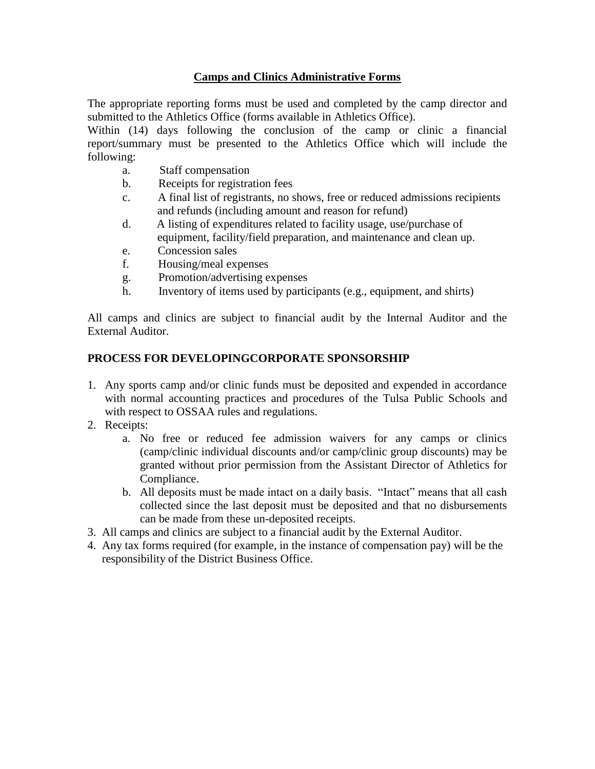### **Camps and Clinics Administrative Forms**

The appropriate reporting forms must be used and completed by the camp director and submitted to the Athletics Office (forms available in Athletics Office).

Within (14) days following the conclusion of the camp or clinic a financial report/summary must be presented to the Athletics Office which will include the following:

- a. Staff compensation
- b. Receipts for registration fees
- c. A final list of registrants, no shows, free or reduced admissions recipients and refunds (including amount and reason for refund)
- d. A listing of expenditures related to facility usage, use/purchase of equipment, facility/field preparation, and maintenance and clean up.
- e. Concession sales
- f. Housing/meal expenses
- g. Promotion/advertising expenses
- h. Inventory of items used by participants (e.g., equipment, and shirts)

All camps and clinics are subject to financial audit by the Internal Auditor and the External Auditor.

### **PROCESS FOR DEVELOPINGCORPORATE SPONSORSHIP**

- 1. Any sports camp and/or clinic funds must be deposited and expended in accordance with normal accounting practices and procedures of the Tulsa Public Schools and with respect to OSSAA rules and regulations.
- 2. Receipts:
	- a. No free or reduced fee admission waivers for any camps or clinics (camp/clinic individual discounts and/or camp/clinic group discounts) may be granted without prior permission from the Assistant Director of Athletics for Compliance.
	- b. All deposits must be made intact on a daily basis. "Intact" means that all cash collected since the last deposit must be deposited and that no disbursements can be made from these un-deposited receipts.
- 3. All camps and clinics are subject to a financial audit by the External Auditor.
- 4. Any tax forms required (for example, in the instance of compensation pay) will be the responsibility of the District Business Office.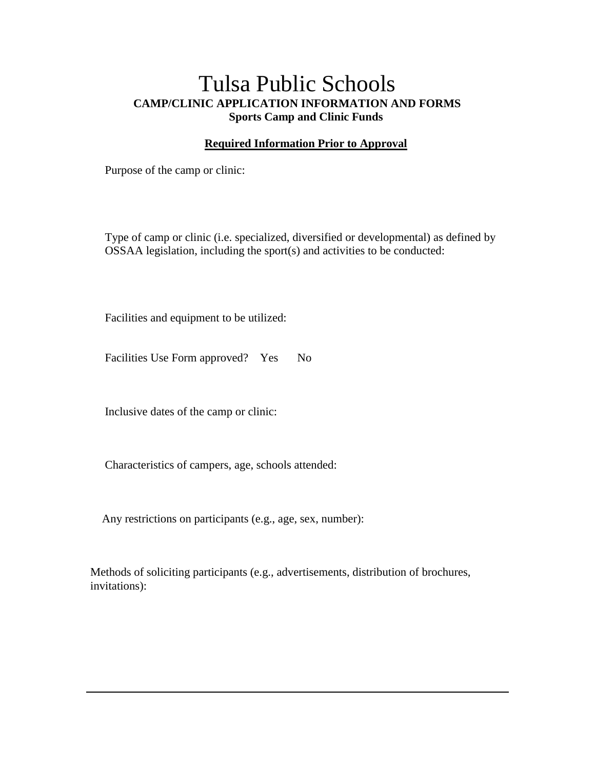### Tulsa Public Schools **CAMP/CLINIC APPLICATION INFORMATION AND FORMS Sports Camp and Clinic Funds**

### **Required Information Prior to Approval**

Purpose of the camp or clinic:

Type of camp or clinic (i.e. specialized, diversified or developmental) as defined by OSSAA legislation, including the sport(s) and activities to be conducted:

Facilities and equipment to be utilized:

Facilities Use Form approved? Yes No

Inclusive dates of the camp or clinic:

Characteristics of campers, age, schools attended:

Any restrictions on participants (e.g., age, sex, number):

Methods of soliciting participants (e.g., advertisements, distribution of brochures, invitations):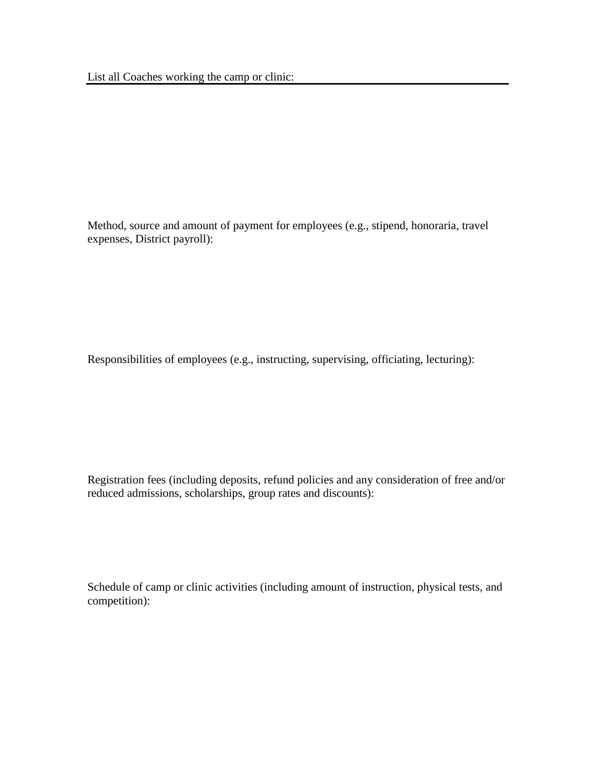Method, source and amount of payment for employees (e.g., stipend, honoraria, travel expenses, District payroll):

Responsibilities of employees (e.g., instructing, supervising, officiating, lecturing):

Registration fees (including deposits, refund policies and any consideration of free and/or reduced admissions, scholarships, group rates and discounts):

Schedule of camp or clinic activities (including amount of instruction, physical tests, and competition):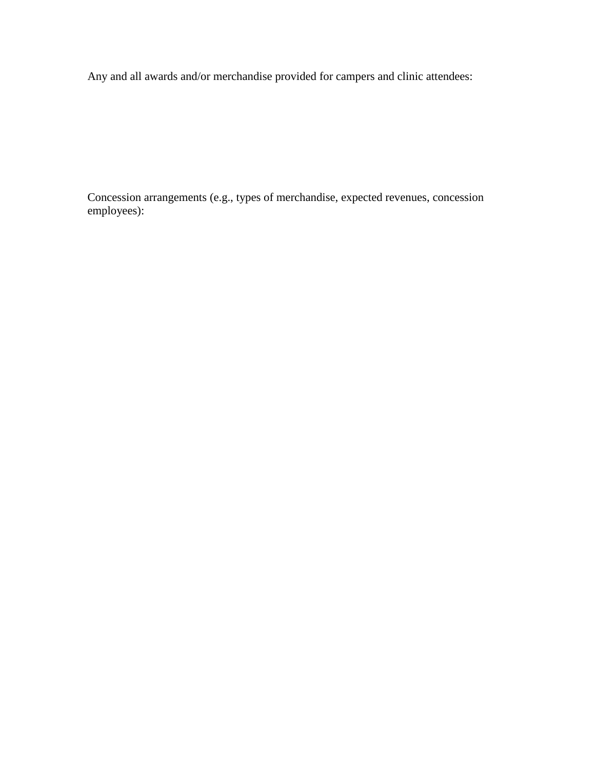Any and all awards and/or merchandise provided for campers and clinic attendees:

Concession arrangements (e.g., types of merchandise, expected revenues, concession employees):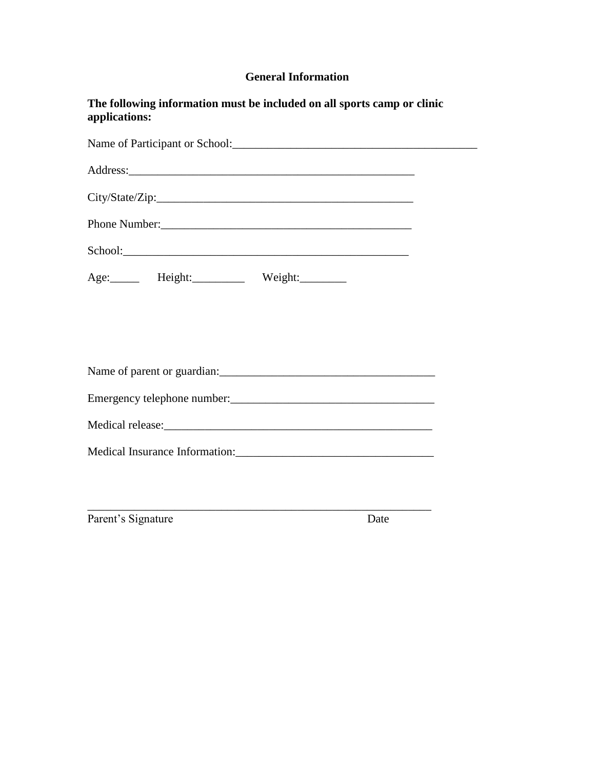### **General Information**

| The following information must be included on all sports camp or clinic<br>applications: |  |
|------------------------------------------------------------------------------------------|--|
|                                                                                          |  |
|                                                                                          |  |
|                                                                                          |  |
| Phone Number:                                                                            |  |
| School: School:                                                                          |  |
| Age: Height: Weight:                                                                     |  |
|                                                                                          |  |
|                                                                                          |  |
|                                                                                          |  |
|                                                                                          |  |
|                                                                                          |  |
| Medical Insurance Information:                                                           |  |
|                                                                                          |  |
|                                                                                          |  |
| Parent's Signature<br>Date                                                               |  |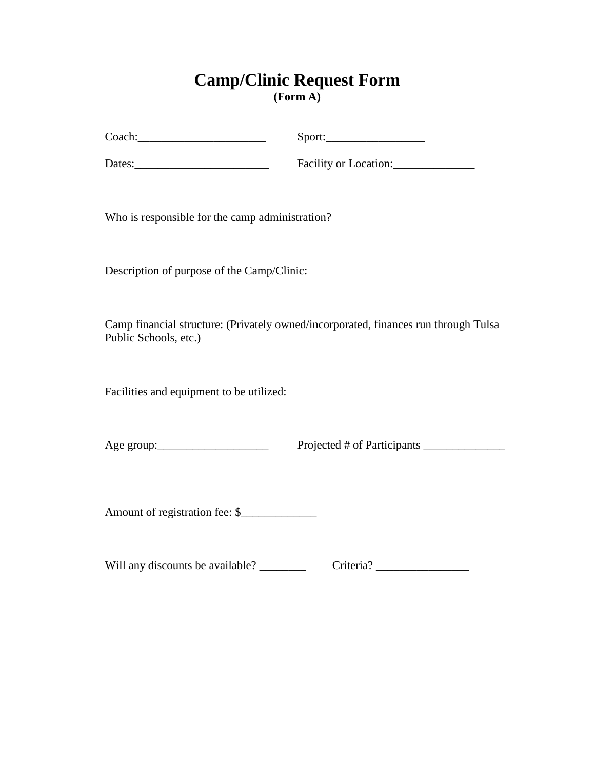### **Camp/Clinic Request Form (Form A)**

| Coach: |
|--------|
|--------|

 $Sport:$ 

Dates:\_\_\_\_\_\_\_\_\_\_\_\_\_\_\_\_\_\_\_\_\_\_\_ Facility or Location:\_\_\_\_\_\_\_\_\_\_\_\_\_\_

Who is responsible for the camp administration?

Description of purpose of the Camp/Clinic:

Camp financial structure: (Privately owned/incorporated, finances run through Tulsa Public Schools, etc.)

Facilities and equipment to be utilized:

Age group:\_\_\_\_\_\_\_\_\_\_\_\_\_\_\_\_\_\_\_ Projected # of Participants \_\_\_\_\_\_\_\_\_\_\_\_\_\_

Amount of registration fee: \$

Will any discounts be available? \_\_\_\_\_\_\_\_ Criteria? \_\_\_\_\_\_\_\_\_\_\_\_\_\_\_\_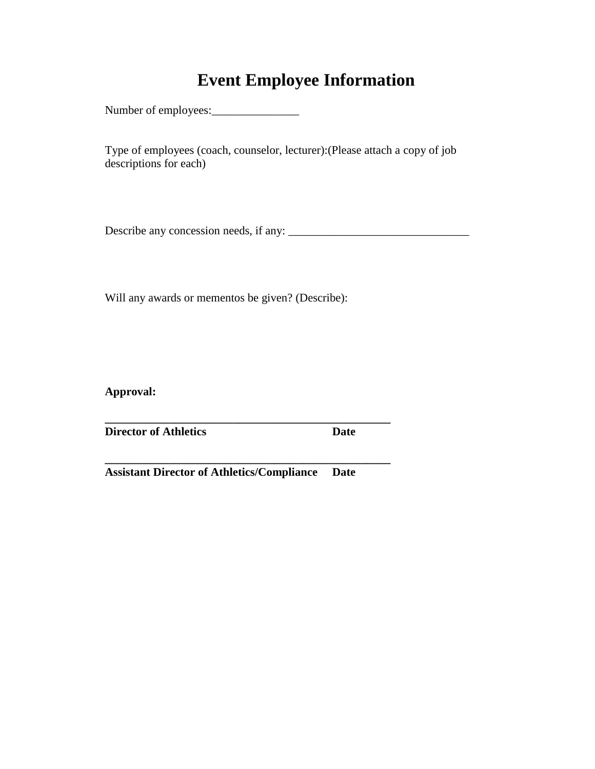### **Event Employee Information**

Number of employees:\_\_\_\_\_\_\_\_\_\_\_\_\_\_\_

Type of employees (coach, counselor, lecturer):(Please attach a copy of job descriptions for each)

Describe any concession needs, if any: \_\_\_\_\_\_\_\_\_\_\_\_\_\_\_\_\_\_\_\_\_\_\_\_\_\_\_\_\_\_\_

Will any awards or mementos be given? (Describe):

**Approval:**

**Director of Athletics Date** 

**Assistant Director of Athletics/Compliance Date**

**\_\_\_\_\_\_\_\_\_\_\_\_\_\_\_\_\_\_\_\_\_\_\_\_\_\_\_\_\_\_\_\_\_\_\_\_\_\_\_\_\_\_\_\_\_\_\_\_\_**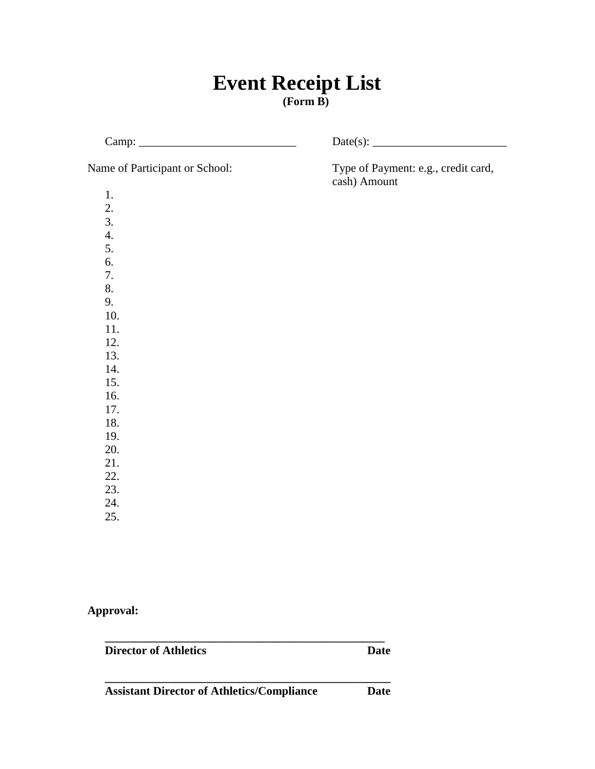### **Event Receipt List (Form B)**

| Name of Participant or School: | Type of Payment: e.g., credit card,<br>cash) Amount |  |  |
|--------------------------------|-----------------------------------------------------|--|--|
| 1.                             |                                                     |  |  |
| 2.                             |                                                     |  |  |
| 3.                             |                                                     |  |  |
| $\overline{4}$ .               |                                                     |  |  |
| 5.                             |                                                     |  |  |
| 6.                             |                                                     |  |  |
| 7.                             |                                                     |  |  |
| 8.                             |                                                     |  |  |
| 9.                             |                                                     |  |  |
| 10.                            |                                                     |  |  |
| 11.                            |                                                     |  |  |
| 12.                            |                                                     |  |  |
| 13.                            |                                                     |  |  |
| 14.                            |                                                     |  |  |
| 15.                            |                                                     |  |  |
| 16.                            |                                                     |  |  |
| 17.                            |                                                     |  |  |
| 18.                            |                                                     |  |  |
| 19.                            |                                                     |  |  |
| 20.                            |                                                     |  |  |
| 21.                            |                                                     |  |  |
| 22.                            |                                                     |  |  |
| 23.                            |                                                     |  |  |
| 24.                            |                                                     |  |  |
| 25.                            |                                                     |  |  |

**Approval:**

**Director of Athletics Date** 

**Assistant Director of Athletics/Compliance Date**

**\_\_\_\_\_\_\_\_\_\_\_\_\_\_\_\_\_\_\_\_\_\_\_\_\_\_\_\_\_\_\_\_\_\_\_\_\_\_\_\_\_\_\_\_\_\_\_\_**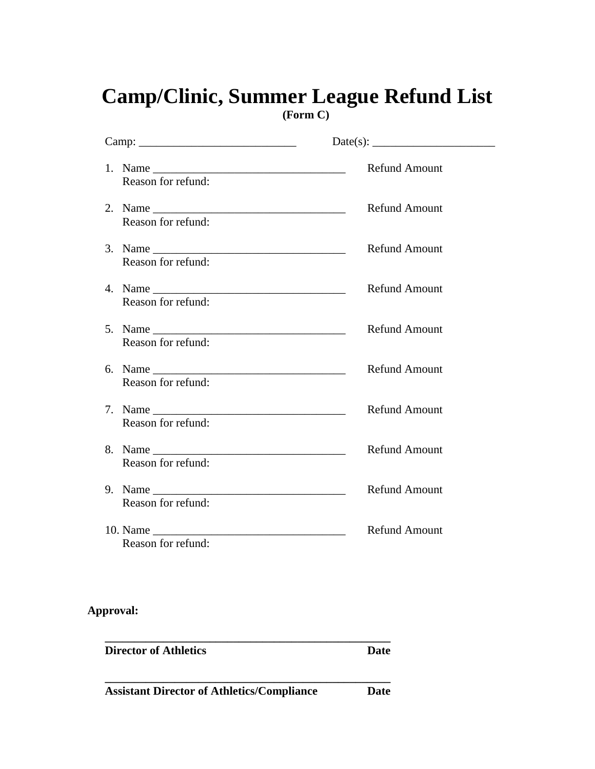# **Camp/Clinic, Summer League Refund List**

**(Form C)**

| $\text{ Camp:}\n \overline{\phantom{iiiiiiiiiiiiiiiii}}$ |                      |
|----------------------------------------------------------|----------------------|
| Reason for refund:                                       | <b>Refund Amount</b> |
| Reason for refund:                                       | <b>Refund Amount</b> |
| Reason for refund:                                       | <b>Refund Amount</b> |
| Reason for refund:                                       | <b>Refund Amount</b> |
| Reason for refund:                                       | <b>Refund Amount</b> |
| Reason for refund:                                       | <b>Refund Amount</b> |
| Reason for refund:                                       | <b>Refund Amount</b> |
| Reason for refund:                                       | Refund Amount        |
| Reason for refund:                                       | <b>Refund Amount</b> |
| Reason for refund:                                       | <b>Refund Amount</b> |

### **Approval:**

**Director of Athletics Date \_\_\_\_\_\_\_\_\_\_\_\_\_\_\_\_\_\_\_\_\_\_\_\_\_\_\_\_\_\_\_\_\_\_\_\_\_\_\_\_\_\_\_\_\_\_\_\_\_ Assistant Director of Athletics/Compliance Date**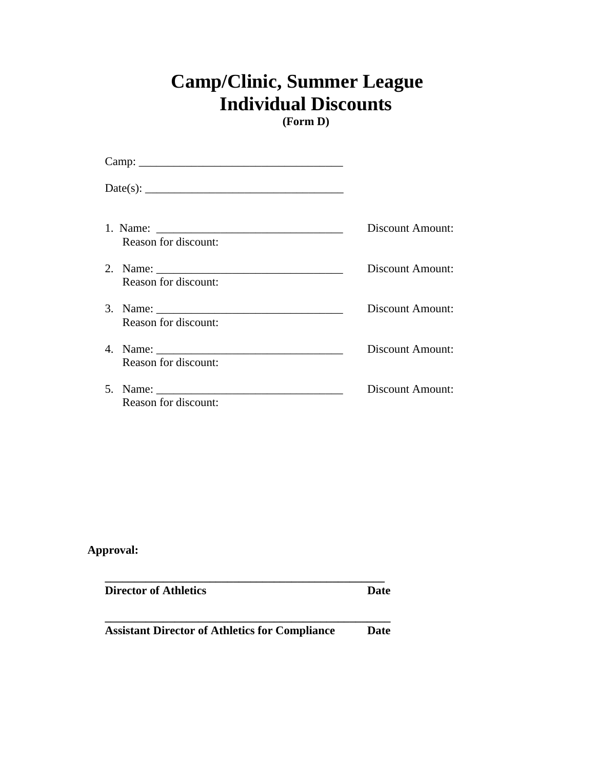## **Camp/Clinic, Summer League Individual Discounts**

**(Form D)**

| Reason for discount: | Discount Amount: |
|----------------------|------------------|
| Reason for discount: | Discount Amount: |
| Reason for discount: | Discount Amount: |
| Reason for discount: | Discount Amount: |
| Reason for discount: | Discount Amount: |

| <b>Director of Athletics</b>                          | Date |
|-------------------------------------------------------|------|
| <b>Assistant Director of Athletics for Compliance</b> | Date |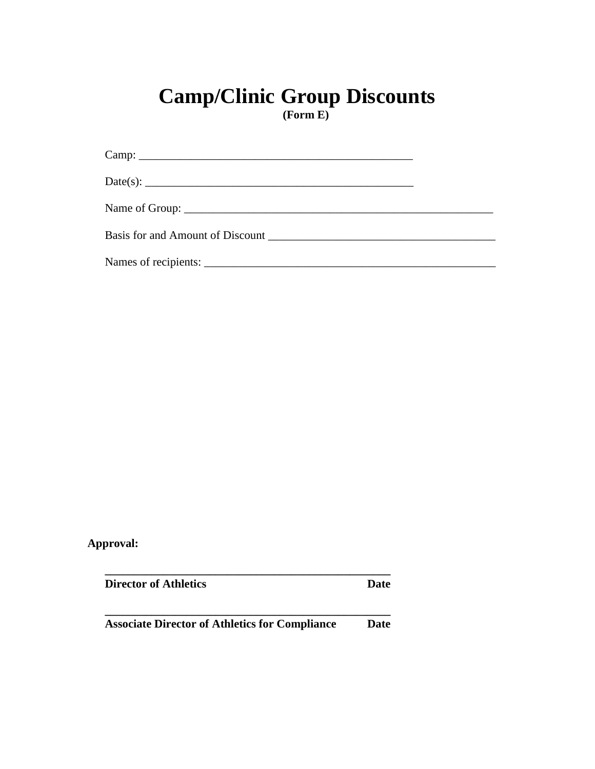# **Camp/Clinic Group Discounts**

**(Form E)**

| Date(s): $\qquad \qquad \qquad$ |  |
|---------------------------------|--|
|                                 |  |
|                                 |  |
|                                 |  |

| <b>Director of Athletics</b>                          | Date |
|-------------------------------------------------------|------|
| <b>Associate Director of Athletics for Compliance</b> | Date |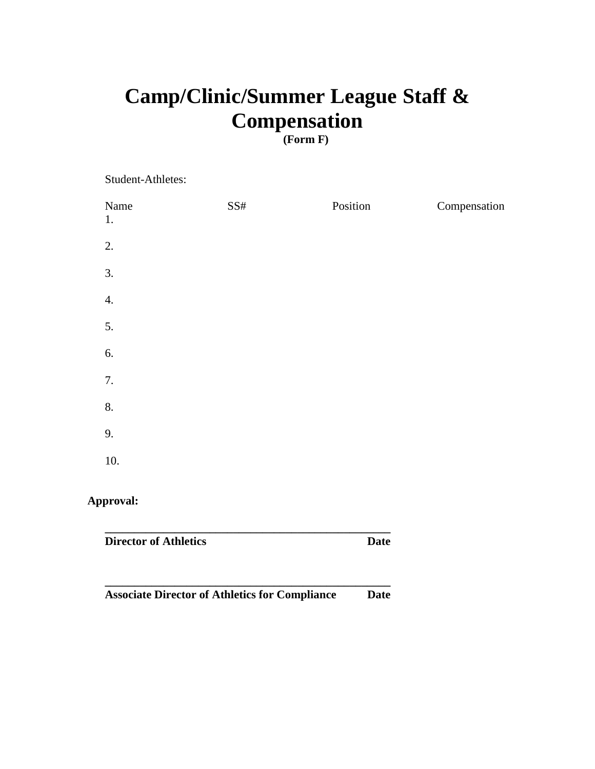## **Camp/Clinic/Summer League Staff & Compensation**

### **(Form F)**

Student-Athletes:

| Name<br>1. | SS# | Position | Compensation |
|------------|-----|----------|--------------|
| 2.         |     |          |              |
| 3.         |     |          |              |
| 4.         |     |          |              |
| 5.         |     |          |              |
| 6.         |     |          |              |
| 7.         |     |          |              |
| 8.         |     |          |              |
| 9.         |     |          |              |
| 10.        |     |          |              |
|            |     |          |              |

| <b>Director of Athletics</b>                          | Date |
|-------------------------------------------------------|------|
| <b>Associate Director of Athletics for Compliance</b> | Date |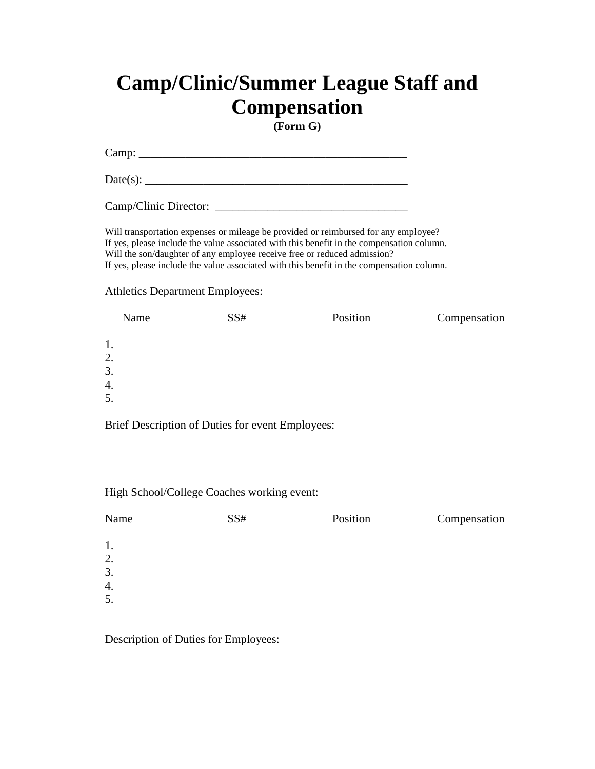## **Camp/Clinic/Summer League Staff and Compensation**

**(Form G)**

Camp: \_\_\_\_\_\_\_\_\_\_\_\_\_\_\_\_\_\_\_\_\_\_\_\_\_\_\_\_\_\_\_\_\_\_\_\_\_\_\_\_\_\_\_\_\_\_

Date(s): \_\_\_\_\_\_\_\_\_\_\_\_\_\_\_\_\_\_\_\_\_\_\_\_\_\_\_\_\_\_\_\_\_\_\_\_\_\_\_\_\_\_\_\_\_

Camp/Clinic Director: \_\_\_\_\_\_\_\_\_\_\_\_\_\_\_\_\_\_\_\_\_\_\_\_\_\_\_\_\_\_\_\_\_

Will transportation expenses or mileage be provided or reimbursed for any employee? If yes, please include the value associated with this benefit in the compensation column. Will the son/daughter of any employee receive free or reduced admission? If yes, please include the value associated with this benefit in the compensation column.

#### Athletics Department Employees:

| Name | SS# | Position | Compensation |
|------|-----|----------|--------------|
| 1.   |     |          |              |
| 2.   |     |          |              |
| 3.   |     |          |              |
| 4.   |     |          |              |
| 5.   |     |          |              |

Brief Description of Duties for event Employees:

High School/College Coaches working event:

| Name | SS# | Position | Compensation |
|------|-----|----------|--------------|
| 1.   |     |          |              |
| 2.   |     |          |              |
| 3.   |     |          |              |
| 4.   |     |          |              |
| 5.   |     |          |              |
|      |     |          |              |

Description of Duties for Employees: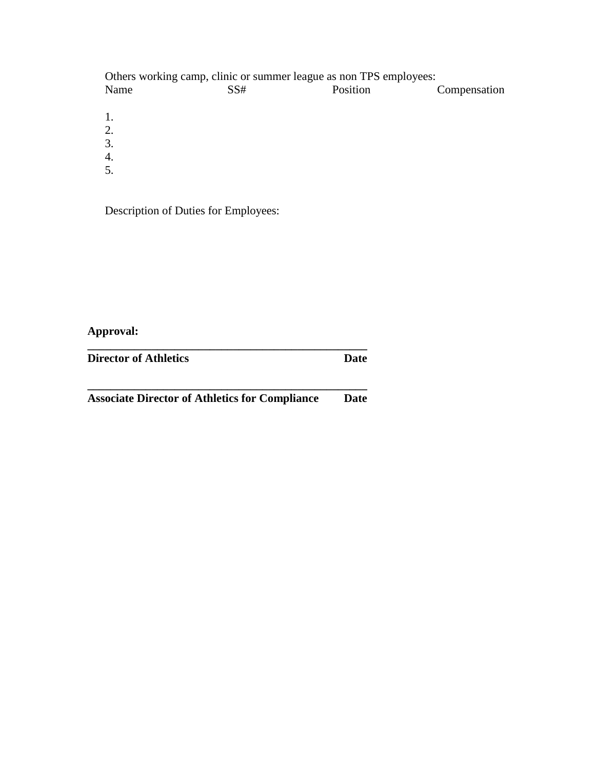Others working camp, clinic or summer league as non TPS employees:<br>Name SS# Position

Compensation 1.

- 2.
- 3.
- 4.
- 5.

Description of Duties for Employees:

| <b>Director of Athletics</b>                          | Date |
|-------------------------------------------------------|------|
| <b>Associate Director of Athletics for Compliance</b> | Date |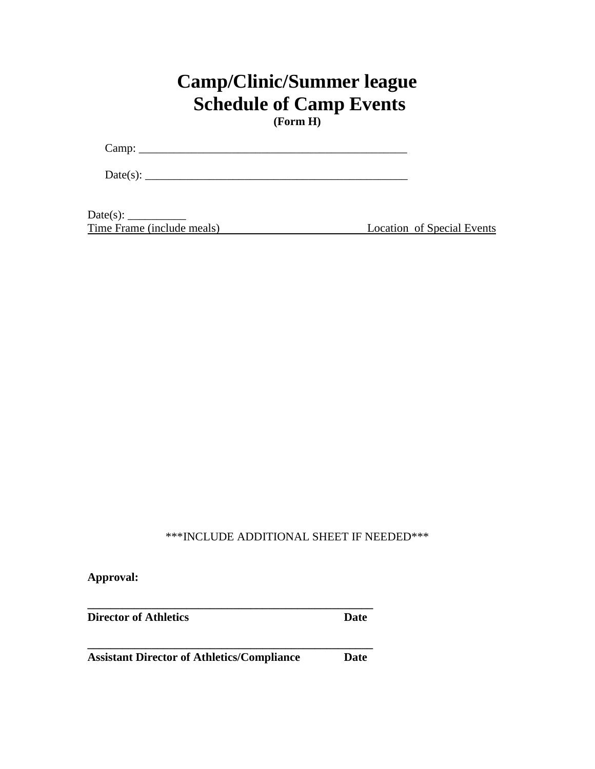## **Camp/Clinic/Summer league Schedule of Camp Events**

**(Form H)**

Camp: \_\_\_\_\_\_\_\_\_\_\_\_\_\_\_\_\_\_\_\_\_\_\_\_\_\_\_\_\_\_\_\_\_\_\_\_\_\_\_\_\_\_\_\_\_\_

 $Date(s):$ 

Date(s): \_\_\_\_\_\_\_\_\_\_ Time Frame (include meals) Location of Special Events

\*\*\*INCLUDE ADDITIONAL SHEET IF NEEDED\*\*\*

**Approval:**

**Director of Athletics** Date

**Assistant Director of Athletics/Compliance Date**

**\_\_\_\_\_\_\_\_\_\_\_\_\_\_\_\_\_\_\_\_\_\_\_\_\_\_\_\_\_\_\_\_\_\_\_\_\_\_\_\_\_\_\_\_\_\_\_\_\_**